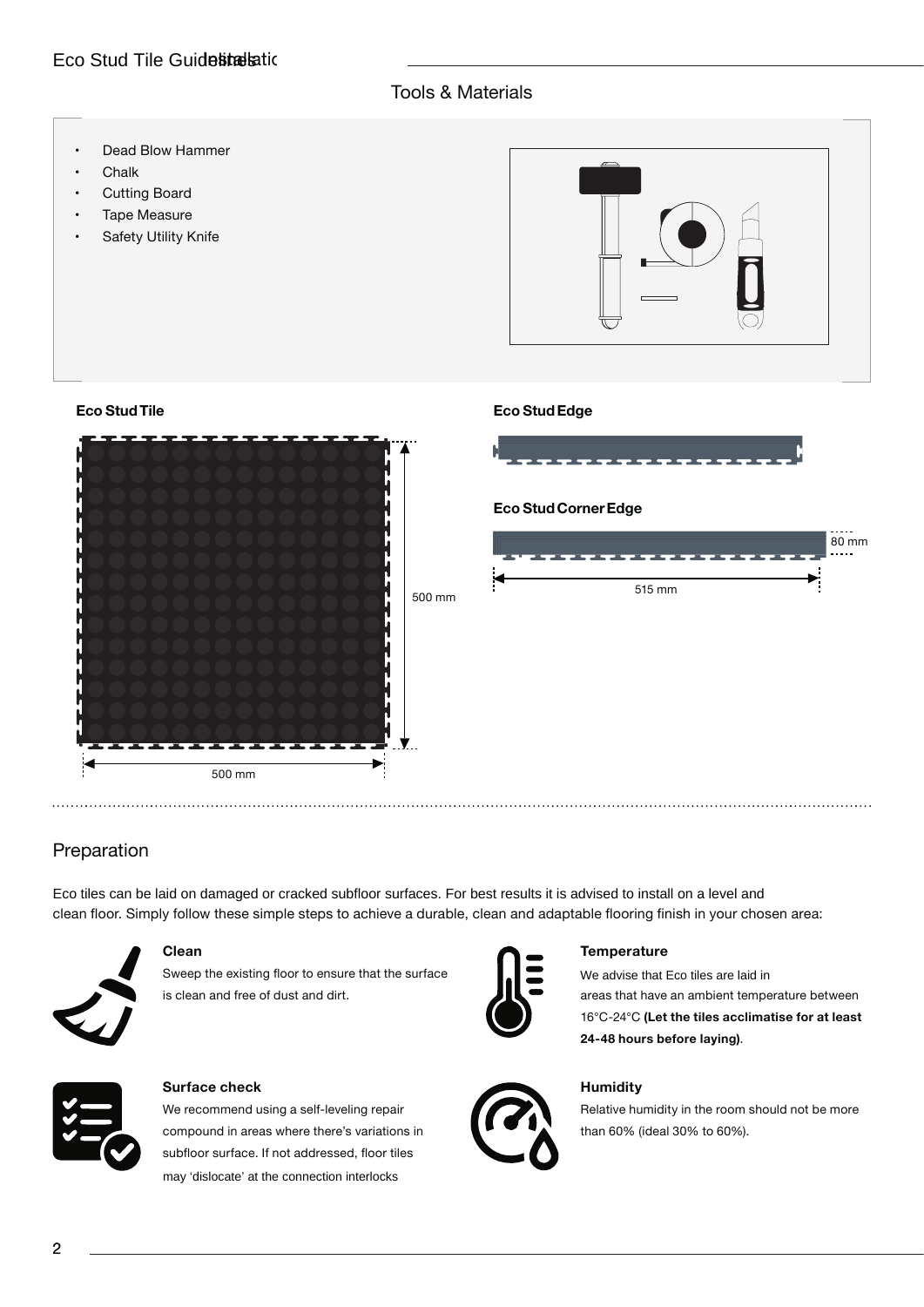# Eco Stud Tile Guidelinellatic

## Tools & Materials

- Dead Blow Hammer
- Chalk
- **Cutting Board**
- Tape Measure

**Eco StudTile**

**Safety Utility Knife** 



### **Eco StudEdge**



## Preparation

clean floor. Simply follow these simple steps to achieve a durable, clean and adaptable flooring finish in your chosen area: Eco tiles can be laid on damaged or cracked subfloor surfaces. For best results it is advised to install on a level and



### **Clean**

Sweep the existing floor to ensure that the surface is clean and free of dust and dirt.



### **Surface check**

We recommend using a self-leveling repair compound in areas where there's variations in subfloor surface. If not addressed, floor tiles may 'dislocate' at the connection interlocks



### **Temperature**

areas that have an ambient temperature between 16°C-24°C **(Let the tiles acclimatise for at least 24-48 hours before laying)**. We advise that Eco tiles are laid in



### **Humidity**

Relative humidity in the room should not be more than 60% (ideal 30% to 60%).

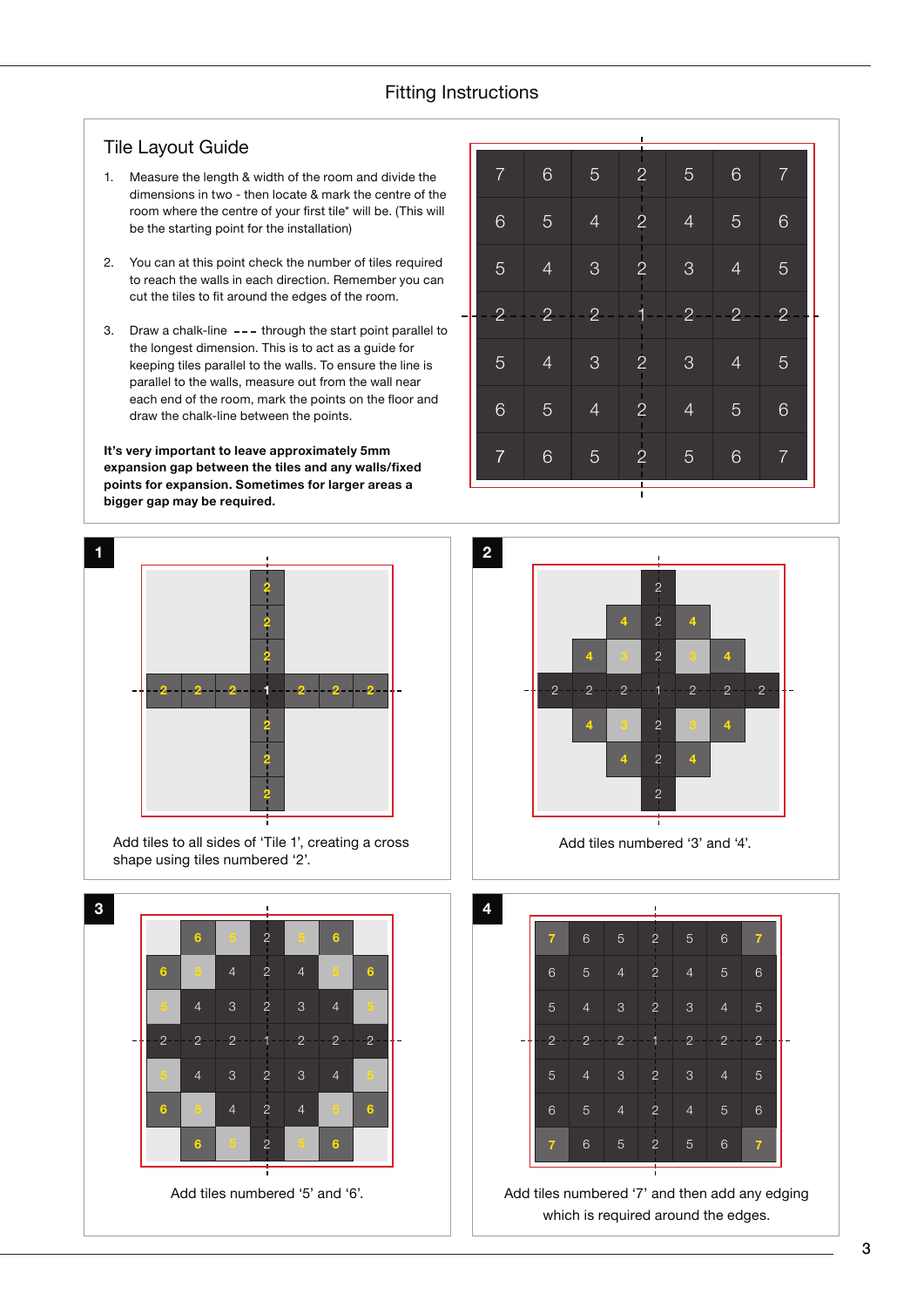## Fitting Instructions

### Tile Layout Guide

- 1. Measure the length & width of the room and divide the dimensions in two - then locate & mark the centre of the room where the centre of your first tile\* will be. (This will be the starting point for the installation)
- 2. You can at this point check the number of tiles required to reach the walls in each direction. Remember you can cut the tiles to fit around the edges of the room.
- 3. Draw a chalk-line  $---$  through the start point parallel to the longest dimension. This is to act as a guide for keeping tiles parallel to the walls. To ensure the line is parallel to the walls, measure out from the wall near each end of the room, mark the points on the floor and draw the chalk-line between the points.

**It's very important to leave approximately 5mm expansion gap between the tiles and any walls/fixed points for expansion. Sometimes for larger areas a bigger gap may be required.**



Add tiles to all sides of 'Tile 1', creating a cross shape using tiles numbered '2'.

 **4** 2 2 1 2 2 2 4 3 2 3 4 **5 5** 4 2 4 **5 6 5** 2 **5 6 5** 2 **5 6 5** 4 2 4 **5 6** 4 3 2 3 4 **5** Add tiles numbered '5' and '6'. Add tiles numbered '7' and then add any edging

|                |                |                | $\overline{\phantom{a}}$ |                     |                |                |
|----------------|----------------|----------------|--------------------------|---------------------|----------------|----------------|
| $\overline{7}$ | $\,$ 6 $\,$    | $\overline{5}$ | $\overline{c}$           | $\sqrt{5}$          | $\mathbf 6$    | 7              |
| $\,$ 6 $\,$    | 5              | $\overline{4}$ | $\frac{1}{2}$            | $\overline{4}$      | 5              | 6              |
| 5              | $\overline{4}$ | 3              | $\frac{1}{2}$            | $\mathcal{S}$       | $\overline{4}$ | 5              |
| $\overline{2}$ | $\overline{2}$ | $2 -$          |                          | $\ddot{\textbf{2}}$ | $\overline{2}$ | $\overline{2}$ |
| 5              | $\overline{4}$ | 3              | $\overline{c}$           | 3                   | $\overline{4}$ | 5              |
| $\overline{6}$ | 5              | $\overline{4}$ | H.<br>$\overline{c}$     | $\overline{4}$      | 5              | 6              |
| $\overline{7}$ | $6\phantom{1}$ | $\overline{5}$ | $\overline{2}$           | $\sqrt{5}$          | 6              | $\overline{7}$ |
|                |                |                | $\blacksquare$           |                     |                |                |





which is required around the edges.